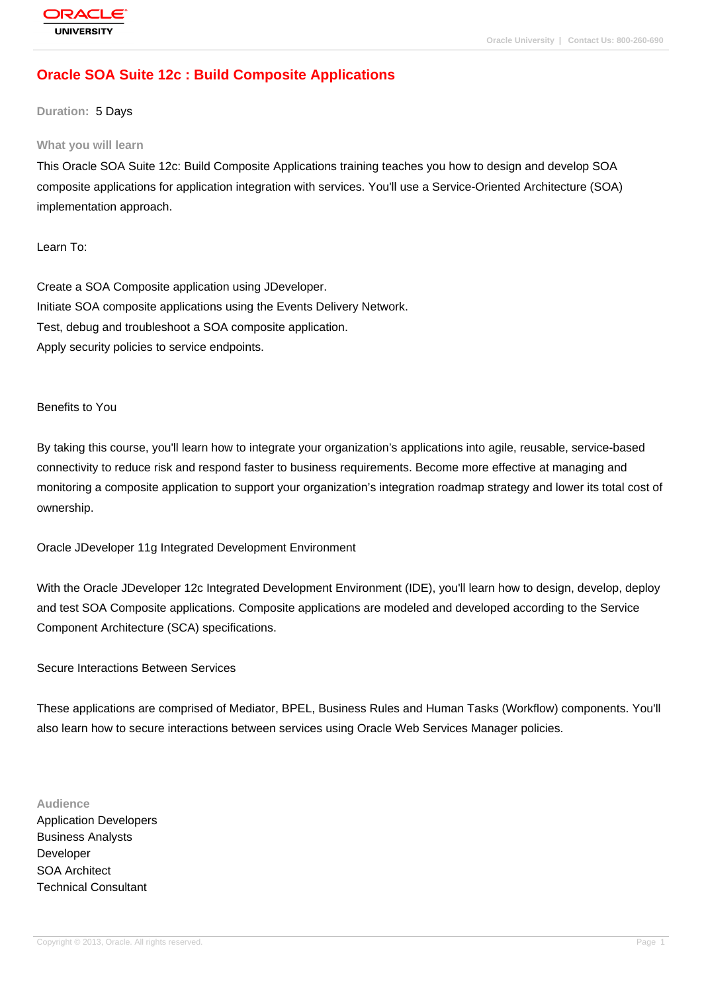# **[Oracle SOA Su](http://education.oracle.com/pls/web_prod-plq-dad/db_pages.getpage?page_id=3)ite 12c : Build Composite Applications**

### **Duration:** 5 Days

### **What you will learn**

This Oracle SOA Suite 12c: Build Composite Applications training teaches you how to design and develop SOA composite applications for application integration with services. You'll use a Service-Oriented Architecture (SOA) implementation approach.

Learn To:

Create a SOA Composite application using JDeveloper. Initiate SOA composite applications using the Events Delivery Network. Test, debug and troubleshoot a SOA composite application. Apply security policies to service endpoints.

#### Benefits to You

By taking this course, you'll learn how to integrate your organization's applications into agile, reusable, service-based connectivity to reduce risk and respond faster to business requirements. Become more effective at managing and monitoring a composite application to support your organization's integration roadmap strategy and lower its total cost of ownership.

Oracle JDeveloper 11g Integrated Development Environment

With the Oracle JDeveloper 12c Integrated Development Environment (IDE), you'll learn how to design, develop, deploy and test SOA Composite applications. Composite applications are modeled and developed according to the Service Component Architecture (SCA) specifications.

Secure Interactions Between Services

These applications are comprised of Mediator, BPEL, Business Rules and Human Tasks (Workflow) components. You'll also learn how to secure interactions between services using Oracle Web Services Manager policies.

#### **Audience**

Application Developers Business Analysts Developer SOA Architect Technical Consultant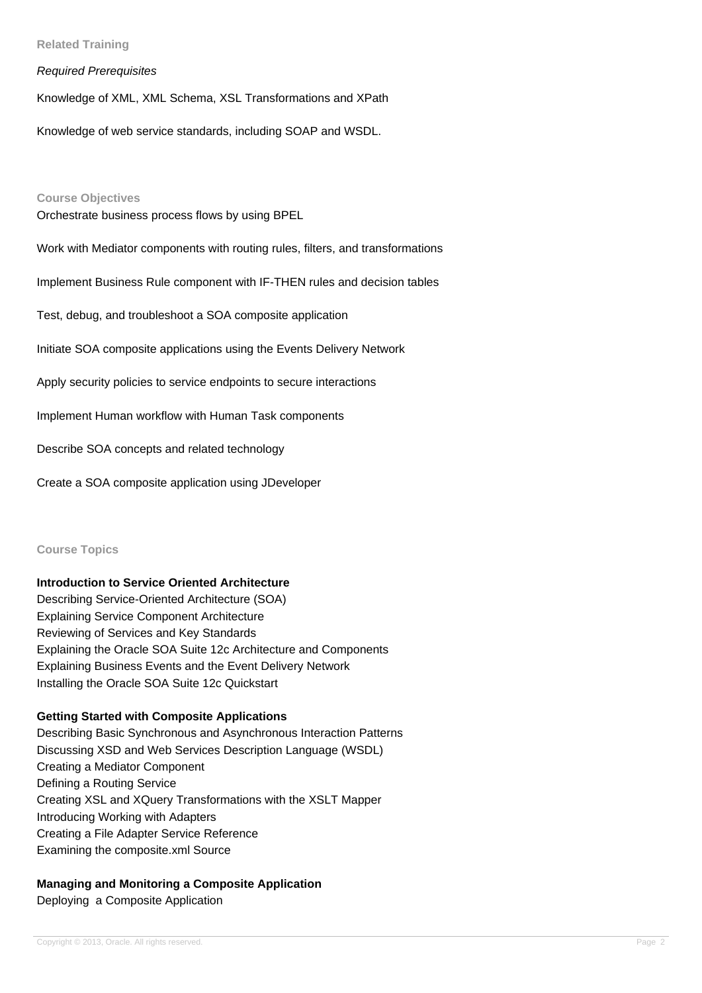# **Related Training**

### Required Prerequisites

Knowledge of XML, XML Schema, XSL Transformations and XPath

Knowledge of web service standards, including SOAP and WSDL.

#### **Course Objectives**

Orchestrate business process flows by using BPEL

Work with Mediator components with routing rules, filters, and transformations

Implement Business Rule component with IF-THEN rules and decision tables

Test, debug, and troubleshoot a SOA composite application

Initiate SOA composite applications using the Events Delivery Network

Apply security policies to service endpoints to secure interactions

Implement Human workflow with Human Task components

Describe SOA concepts and related technology

Create a SOA composite application using JDeveloper

#### **Course Topics**

### **Introduction to Service Oriented Architecture**

Describing Service-Oriented Architecture (SOA) Explaining Service Component Architecture Reviewing of Services and Key Standards Explaining the Oracle SOA Suite 12c Architecture and Components Explaining Business Events and the Event Delivery Network Installing the Oracle SOA Suite 12c Quickstart

### **Getting Started with Composite Applications**

Describing Basic Synchronous and Asynchronous Interaction Patterns Discussing XSD and Web Services Description Language (WSDL) Creating a Mediator Component Defining a Routing Service Creating XSL and XQuery Transformations with the XSLT Mapper Introducing Working with Adapters Creating a File Adapter Service Reference Examining the composite.xml Source

# **Managing and Monitoring a Composite Application**

Deploying a Composite Application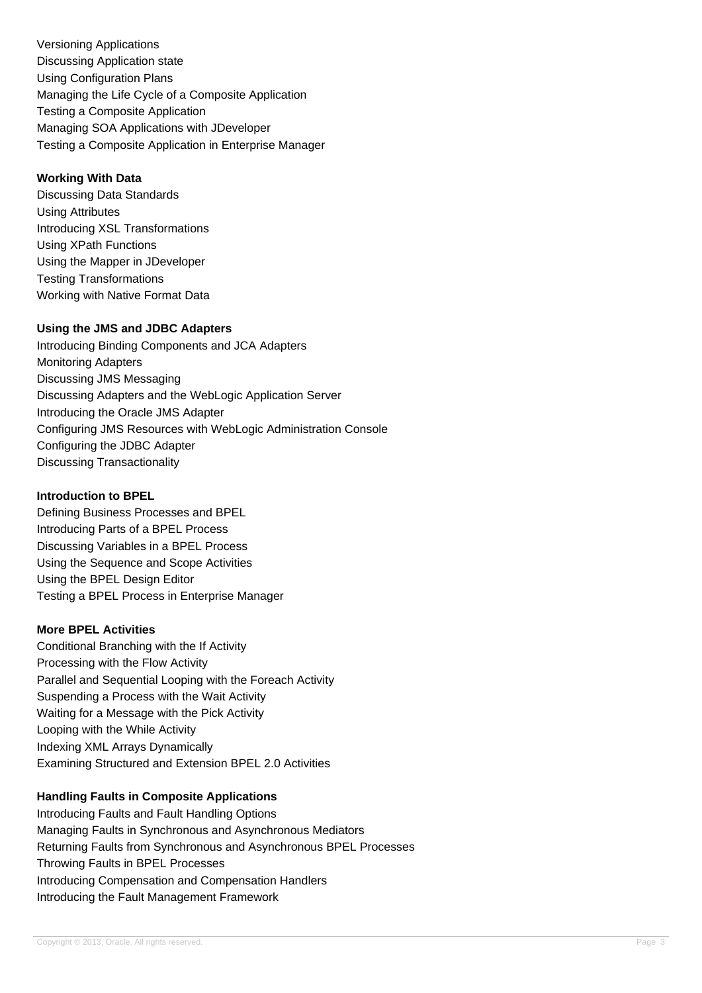Versioning Applications Discussing Application state Using Configuration Plans Managing the Life Cycle of a Composite Application Testing a Composite Application Managing SOA Applications with JDeveloper Testing a Composite Application in Enterprise Manager

# **Working With Data**

Discussing Data Standards Using Attributes Introducing XSL Transformations Using XPath Functions Using the Mapper in JDeveloper Testing Transformations Working with Native Format Data

# **Using the JMS and JDBC Adapters**

Introducing Binding Components and JCA Adapters Monitoring Adapters Discussing JMS Messaging Discussing Adapters and the WebLogic Application Server Introducing the Oracle JMS Adapter Configuring JMS Resources with WebLogic Administration Console Configuring the JDBC Adapter Discussing Transactionality

# **Introduction to BPEL**

Defining Business Processes and BPEL Introducing Parts of a BPEL Process Discussing Variables in a BPEL Process Using the Sequence and Scope Activities Using the BPEL Design Editor Testing a BPEL Process in Enterprise Manager

# **More BPEL Activities**

Conditional Branching with the If Activity Processing with the Flow Activity Parallel and Sequential Looping with the Foreach Activity Suspending a Process with the Wait Activity Waiting for a Message with the Pick Activity Looping with the While Activity Indexing XML Arrays Dynamically Examining Structured and Extension BPEL 2.0 Activities

# **Handling Faults in Composite Applications**

Introducing Faults and Fault Handling Options Managing Faults in Synchronous and Asynchronous Mediators Returning Faults from Synchronous and Asynchronous BPEL Processes Throwing Faults in BPEL Processes Introducing Compensation and Compensation Handlers Introducing the Fault Management Framework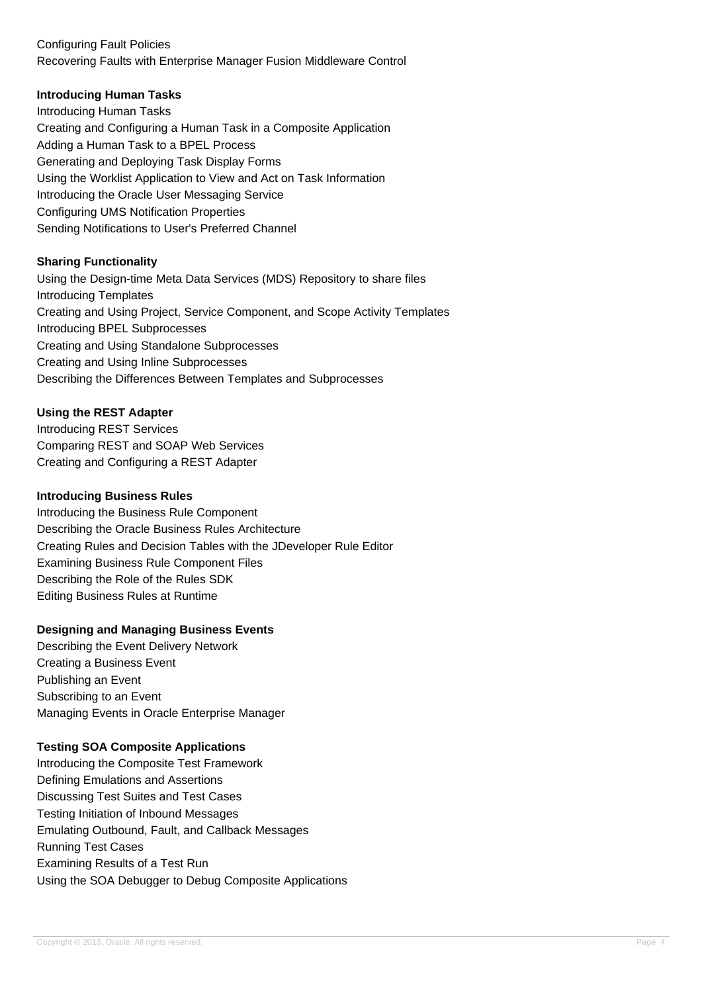# Configuring Fault Policies Recovering Faults with Enterprise Manager Fusion Middleware Control

# **Introducing Human Tasks**

Introducing Human Tasks Creating and Configuring a Human Task in a Composite Application Adding a Human Task to a BPEL Process Generating and Deploying Task Display Forms Using the Worklist Application to View and Act on Task Information Introducing the Oracle User Messaging Service Configuring UMS Notification Properties Sending Notifications to User's Preferred Channel

# **Sharing Functionality**

Using the Design-time Meta Data Services (MDS) Repository to share files Introducing Templates Creating and Using Project, Service Component, and Scope Activity Templates Introducing BPEL Subprocesses Creating and Using Standalone Subprocesses Creating and Using Inline Subprocesses Describing the Differences Between Templates and Subprocesses

# **Using the REST Adapter**

Introducing REST Services Comparing REST and SOAP Web Services Creating and Configuring a REST Adapter

### **Introducing Business Rules**

Introducing the Business Rule Component Describing the Oracle Business Rules Architecture Creating Rules and Decision Tables with the JDeveloper Rule Editor Examining Business Rule Component Files Describing the Role of the Rules SDK Editing Business Rules at Runtime

# **Designing and Managing Business Events**

Describing the Event Delivery Network Creating a Business Event Publishing an Event Subscribing to an Event Managing Events in Oracle Enterprise Manager

# **Testing SOA Composite Applications**

Introducing the Composite Test Framework Defining Emulations and Assertions Discussing Test Suites and Test Cases Testing Initiation of Inbound Messages Emulating Outbound, Fault, and Callback Messages Running Test Cases Examining Results of a Test Run Using the SOA Debugger to Debug Composite Applications